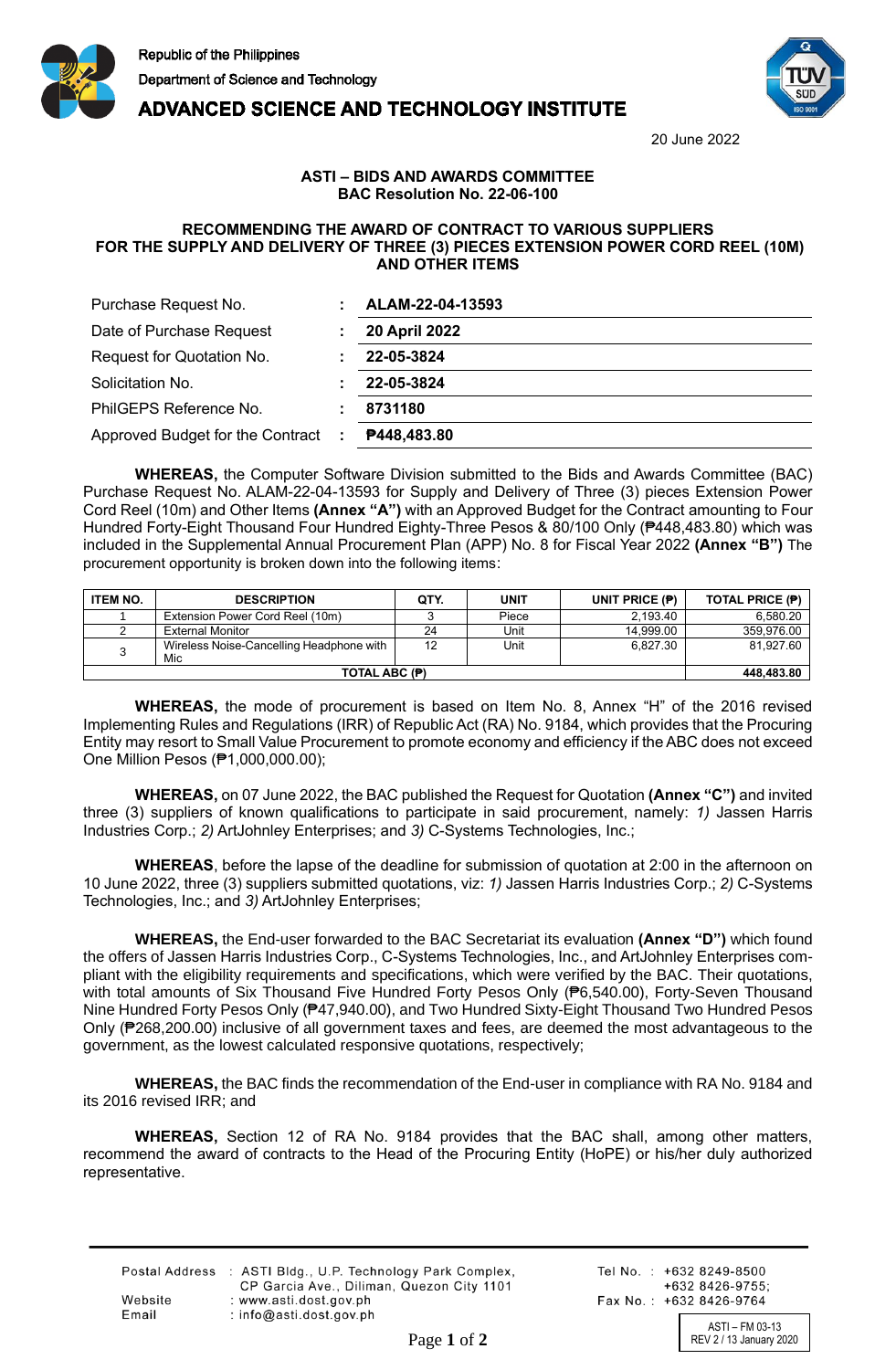



**ADVANCED SCIENCE AND TECHNOLOGY INSTITUTE** 

20 June 2022

## **ASTI – BIDS AND AWARDS COMMITTEE BAC Resolution No. 22-06-100**

## **RECOMMENDING THE AWARD OF CONTRACT TO VARIOUS SUPPLIERS FOR THE SUPPLY AND DELIVERY OF THREE (3) PIECES EXTENSION POWER CORD REEL (10M) AND OTHER ITEMS**

| Purchase Request No.             | ALAM-22-04-13593 |
|----------------------------------|------------------|
| Date of Purchase Request         | 20 April 2022    |
| Request for Quotation No.        | 22-05-3824       |
| Solicitation No.                 | 22-05-3824       |
| PhilGEPS Reference No.           | 8731180          |
| Approved Budget for the Contract | P448,483.80      |

**WHEREAS,** the Computer Software Division submitted to the Bids and Awards Committee (BAC) Purchase Request No. ALAM-22-04-13593 for Supply and Delivery of Three (3) pieces Extension Power Cord Reel (10m) and Other Items **(Annex "A")** with an Approved Budget for the Contract amounting to Four Hundred Forty-Eight Thousand Four Hundred Eighty-Three Pesos & 80/100 Only (₱448,483.80) which was included in the Supplemental Annual Procurement Plan (APP) No. 8 for Fiscal Year 2022 **(Annex "B")** The procurement opportunity is broken down into the following items:

| <b>ITEM NO.</b> | <b>DESCRIPTION</b>                              | QTY. | <b>UNIT</b> | UNIT PRICE $(P)$ | <b>TOTAL PRICE (P)</b> |
|-----------------|-------------------------------------------------|------|-------------|------------------|------------------------|
|                 | Extension Power Cord Reel (10m)                 |      | Piece       | 2.193.40         | 6,580.20               |
|                 | <b>External Monitor</b>                         | 24   | Unit        | 14.999.00        | 359,976.00             |
|                 | Wireless Noise-Cancelling Headphone with<br>Mic | 12   | Unit        | 6.827.30         | 81.927.60              |
| TOTAL ABC (P)   |                                                 |      |             | 448,483.80       |                        |

**WHEREAS,** the mode of procurement is based on Item No. 8, Annex "H" of the 2016 revised Implementing Rules and Regulations (IRR) of Republic Act (RA) No. 9184, which provides that the Procuring Entity may resort to Small Value Procurement to promote economy and efficiency if the ABC does not exceed One Million Pesos (₱1,000,000.00);

**WHEREAS,** on 07 June 2022, the BAC published the Request for Quotation **(Annex "C")** and invited three (3) suppliers of known qualifications to participate in said procurement, namely: *1)* Jassen Harris Industries Corp.; *2)* ArtJohnley Enterprises; and *3)* C-Systems Technologies, Inc.;

**WHEREAS**, before the lapse of the deadline for submission of quotation at 2:00 in the afternoon on 10 June 2022, three (3) suppliers submitted quotations, viz: *1)* Jassen Harris Industries Corp.; *2)* C-Systems Technologies, Inc.; and *3)* ArtJohnley Enterprises;

**WHEREAS,** the End-user forwarded to the BAC Secretariat its evaluation **(Annex "D")** which found the offers of Jassen Harris Industries Corp., C-Systems Technologies, Inc., and ArtJohnley Enterprises compliant with the eligibility requirements and specifications, which were verified by the BAC. Their quotations, with total amounts of Six Thousand Five Hundred Forty Pesos Only (₱6,540.00), Forty-Seven Thousand Nine Hundred Forty Pesos Only (₱47,940.00), and Two Hundred Sixty-Eight Thousand Two Hundred Pesos Only (₱268,200.00) inclusive of all government taxes and fees, are deemed the most advantageous to the government, as the lowest calculated responsive quotations, respectively;

**WHEREAS,** the BAC finds the recommendation of the End-user in compliance with RA No. 9184 and its 2016 revised IRR; and

**WHEREAS,** Section 12 of RA No. 9184 provides that the BAC shall, among other matters, recommend the award of contracts to the Head of the Procuring Entity (HoPE) or his/her duly authorized representative.

|         | Postal Address : ASTI Bldg., U.P. Technology Park Complex, |
|---------|------------------------------------------------------------|
|         | CP Garcia Ave., Diliman, Quezon City 1101                  |
| Website | : www.asti.dost.gov.ph                                     |
| Email   | : $info@asti.dost.gov.ph$                                  |